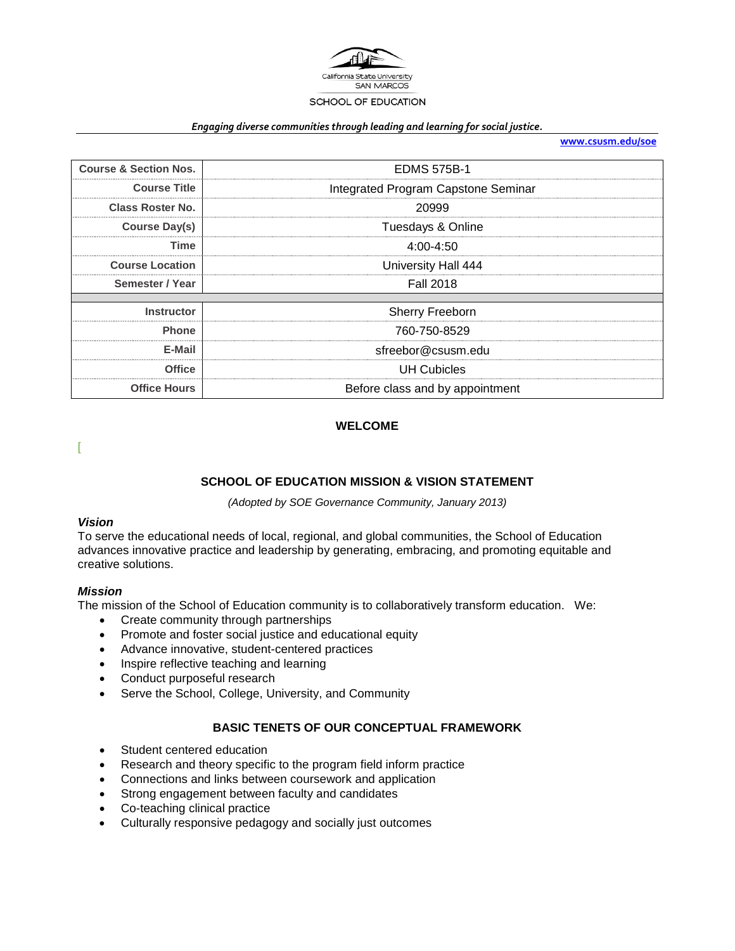

#### *Engaging diverse communities through leading and learning for social justice.*

**[www.csusm.edu/soe](http://www.csusm.edu/soe)**

| <b>Course &amp; Section Nos.</b> | <b>EDMS 575B-1</b>                  |
|----------------------------------|-------------------------------------|
| <b>Course Title</b>              | Integrated Program Capstone Seminar |
| Class Roster No.                 | 20999                               |
| <b>Course Day(s)</b>             | Tuesdays & Online                   |
| Time                             | 4:00-4:50                           |
| <b>Course Location</b>           | University Hall 444                 |
| Semester / Year                  | <b>Fall 2018</b>                    |
|                                  |                                     |
| <b>Instructor</b>                | Sherry Freeborn                     |
| <b>Phone</b>                     | 760-750-8529                        |
| E-Mail                           | sfreebor@csusm.edu                  |
| <b>Office</b>                    | <b>UH Cubicles</b>                  |
| <b>Office Hours</b>              | Before class and by appointment     |

### **WELCOME**

[

## **SCHOOL OF EDUCATION MISSION & VISION STATEMENT**

*(Adopted by SOE Governance Community, January 2013)*

#### *Vision*

To serve the educational needs of local, regional, and global communities, the School of Education advances innovative practice and leadership by generating, embracing, and promoting equitable and creative solutions.

#### *Mission*

The mission of the School of Education community is to collaboratively transform education. We:

- Create community through partnerships
- Promote and foster social justice and educational equity
- Advance innovative, student-centered practices
- Inspire reflective teaching and learning
- Conduct purposeful research
- Serve the School, College, University, and Community

#### **BASIC TENETS OF OUR CONCEPTUAL FRAMEWORK**

- Student centered education
- Research and theory specific to the program field inform practice
- Connections and links between coursework and application
- Strong engagement between faculty and candidates
- Co-teaching clinical practice
- Culturally responsive pedagogy and socially just outcomes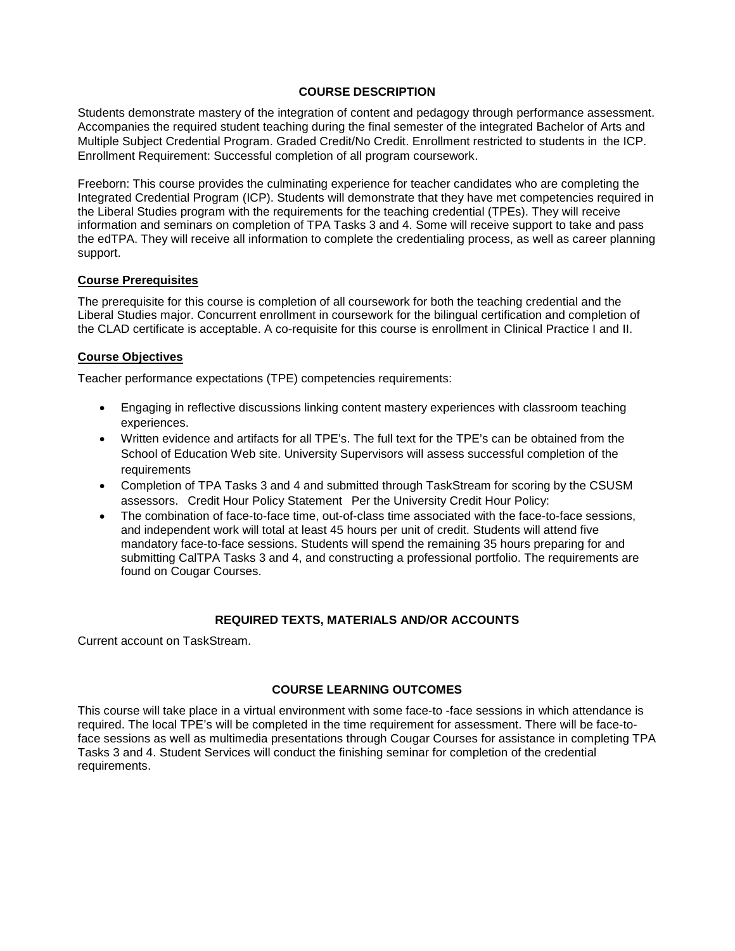### **COURSE DESCRIPTION**

Students demonstrate mastery of the integration of content and pedagogy through performance assessment. Accompanies the required student teaching during the final semester of the integrated Bachelor of Arts and Multiple Subject Credential Program. Graded Credit/No Credit. Enrollment restricted to students in the ICP. Enrollment Requirement: Successful completion of all program coursework.

Freeborn: This course provides the culminating experience for teacher candidates who are completing the Integrated Credential Program (ICP). Students will demonstrate that they have met competencies required in the Liberal Studies program with the requirements for the teaching credential (TPEs). They will receive information and seminars on completion of TPA Tasks 3 and 4. Some will receive support to take and pass the edTPA. They will receive all information to complete the credentialing process, as well as career planning support.

#### **Course Prerequisites**

The prerequisite for this course is completion of all coursework for both the teaching credential and the Liberal Studies major. Concurrent enrollment in coursework for the bilingual certification and completion of the CLAD certificate is acceptable. A co-requisite for this course is enrollment in Clinical Practice I and II.

### **Course Objectives**

Teacher performance expectations (TPE) competencies requirements:

- Engaging in reflective discussions linking content mastery experiences with classroom teaching experiences.
- Written evidence and artifacts for all TPE's. The full text for the TPE's can be obtained from the School of Education Web site. University Supervisors will assess successful completion of the requirements
- Completion of TPA Tasks 3 and 4 and submitted through TaskStream for scoring by the CSUSM assessors. Credit Hour Policy Statement Per the University Credit Hour Policy:
- The combination of face-to-face time, out-of-class time associated with the face-to-face sessions, and independent work will total at least 45 hours per unit of credit. Students will attend five mandatory face-to-face sessions. Students will spend the remaining 35 hours preparing for and submitting CalTPA Tasks 3 and 4, and constructing a professional portfolio. The requirements are found on Cougar Courses.

#### **REQUIRED TEXTS, MATERIALS AND/OR ACCOUNTS**

Current account on TaskStream.

### **COURSE LEARNING OUTCOMES**

This course will take place in a virtual environment with some face-to -face sessions in which attendance is required. The local TPE's will be completed in the time requirement for assessment. There will be face-toface sessions as well as multimedia presentations through Cougar Courses for assistance in completing TPA Tasks 3 and 4. Student Services will conduct the finishing seminar for completion of the credential requirements.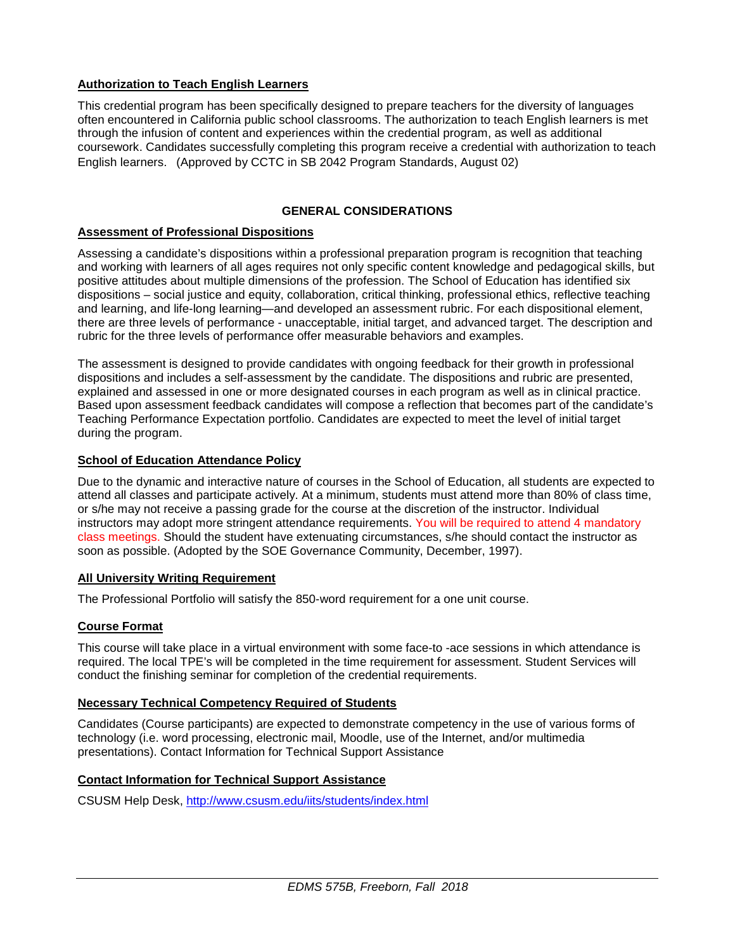## **Authorization to Teach English Learners**

This credential program has been specifically designed to prepare teachers for the diversity of languages often encountered in California public school classrooms. The authorization to teach English learners is met through the infusion of content and experiences within the credential program, as well as additional coursework. Candidates successfully completing this program receive a credential with authorization to teach English learners. (Approved by CCTC in SB 2042 Program Standards, August 02)

## **GENERAL CONSIDERATIONS**

### **Assessment of Professional Dispositions**

Assessing a candidate's dispositions within a professional preparation program is recognition that teaching and working with learners of all ages requires not only specific content knowledge and pedagogical skills, but positive attitudes about multiple dimensions of the profession. The School of Education has identified six dispositions – social justice and equity, collaboration, critical thinking, professional ethics, reflective teaching and learning, and life-long learning—and developed an assessment rubric. For each dispositional element, there are three levels of performance - unacceptable, initial target, and advanced target. The description and rubric for the three levels of performance offer measurable behaviors and examples.

The assessment is designed to provide candidates with ongoing feedback for their growth in professional dispositions and includes a self-assessment by the candidate. The dispositions and rubric are presented, explained and assessed in one or more designated courses in each program as well as in clinical practice. Based upon assessment feedback candidates will compose a reflection that becomes part of the candidate's Teaching Performance Expectation portfolio. Candidates are expected to meet the level of initial target during the program.

### **School of Education Attendance Policy**

Due to the dynamic and interactive nature of courses in the School of Education, all students are expected to attend all classes and participate actively. At a minimum, students must attend more than 80% of class time, or s/he may not receive a passing grade for the course at the discretion of the instructor. Individual instructors may adopt more stringent attendance requirements. You will be required to attend 4 mandatory class meetings. Should the student have extenuating circumstances, s/he should contact the instructor as soon as possible. (Adopted by the SOE Governance Community, December, 1997).

### **All University Writing Requirement**

The Professional Portfolio will satisfy the 850-word requirement for a one unit course.

### **Course Format**

This course will take place in a virtual environment with some face-to -ace sessions in which attendance is required. The local TPE's will be completed in the time requirement for assessment. Student Services will conduct the finishing seminar for completion of the credential requirements.

#### **Necessary Technical Competency Required of Students**

Candidates (Course participants) are expected to demonstrate competency in the use of various forms of technology (i.e. word processing, electronic mail, Moodle, use of the Internet, and/or multimedia presentations). Contact Information for Technical Support Assistance

## **Contact Information for Technical Support Assistance**

CSUSM Help Desk,<http://www.csusm.edu/iits/students/index.html>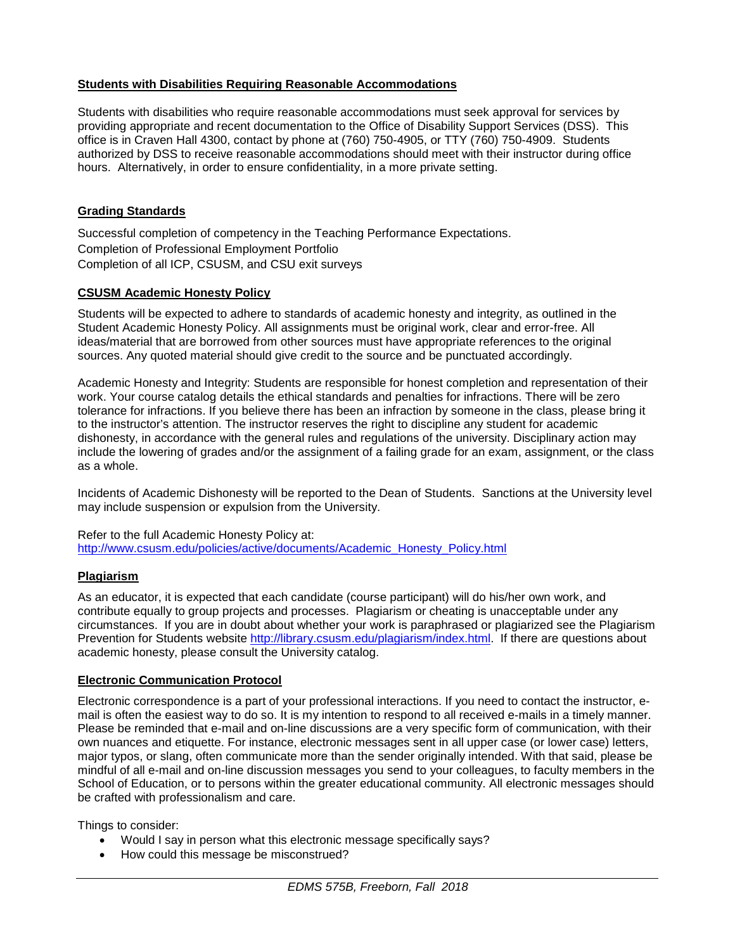### **Students with Disabilities Requiring Reasonable Accommodations**

Students with disabilities who require reasonable accommodations must seek approval for services by providing appropriate and recent documentation to the Office of Disability Support Services (DSS). This office is in Craven Hall 4300, contact by phone at (760) 750-4905, or TTY (760) 750-4909. Students authorized by DSS to receive reasonable accommodations should meet with their instructor during office hours. Alternatively, in order to ensure confidentiality, in a more private setting.

## **Grading Standards**

Successful completion of competency in the Teaching Performance Expectations. Completion of Professional Employment Portfolio Completion of all ICP, CSUSM, and CSU exit surveys

## **CSUSM Academic Honesty Policy**

Students will be expected to adhere to standards of academic honesty and integrity, as outlined in the Student Academic Honesty Policy. All assignments must be original work, clear and error-free. All ideas/material that are borrowed from other sources must have appropriate references to the original sources. Any quoted material should give credit to the source and be punctuated accordingly.

Academic Honesty and Integrity: Students are responsible for honest completion and representation of their work. Your course catalog details the ethical standards and penalties for infractions. There will be zero tolerance for infractions. If you believe there has been an infraction by someone in the class, please bring it to the instructor's attention. The instructor reserves the right to discipline any student for academic dishonesty, in accordance with the general rules and regulations of the university. Disciplinary action may include the lowering of grades and/or the assignment of a failing grade for an exam, assignment, or the class as a whole.

Incidents of Academic Dishonesty will be reported to the Dean of Students. Sanctions at the University level may include suspension or expulsion from the University.

#### Refer to the full Academic Honesty Policy at: [http://www.csusm.edu/policies/active/documents/Academic\\_Honesty\\_Policy.html](http://www.csusm.edu/policies/active/documents/Academic_Honesty_Policy.html)

#### **Plagiarism**

As an educator, it is expected that each candidate (course participant) will do his/her own work, and contribute equally to group projects and processes. Plagiarism or cheating is unacceptable under any circumstances. If you are in doubt about whether your work is paraphrased or plagiarized see the Plagiarism Prevention for Students website [http://library.csusm.edu/plagiarism/index.html.](http://library.csusm.edu/plagiarism/index.html) If there are questions about academic honesty, please consult the University catalog.

## **Electronic Communication Protocol**

Electronic correspondence is a part of your professional interactions. If you need to contact the instructor, email is often the easiest way to do so. It is my intention to respond to all received e-mails in a timely manner. Please be reminded that e-mail and on-line discussions are a very specific form of communication, with their own nuances and etiquette. For instance, electronic messages sent in all upper case (or lower case) letters, major typos, or slang, often communicate more than the sender originally intended. With that said, please be mindful of all e-mail and on-line discussion messages you send to your colleagues, to faculty members in the School of Education, or to persons within the greater educational community. All electronic messages should be crafted with professionalism and care.

Things to consider:

- Would I say in person what this electronic message specifically says?
- How could this message be misconstrued?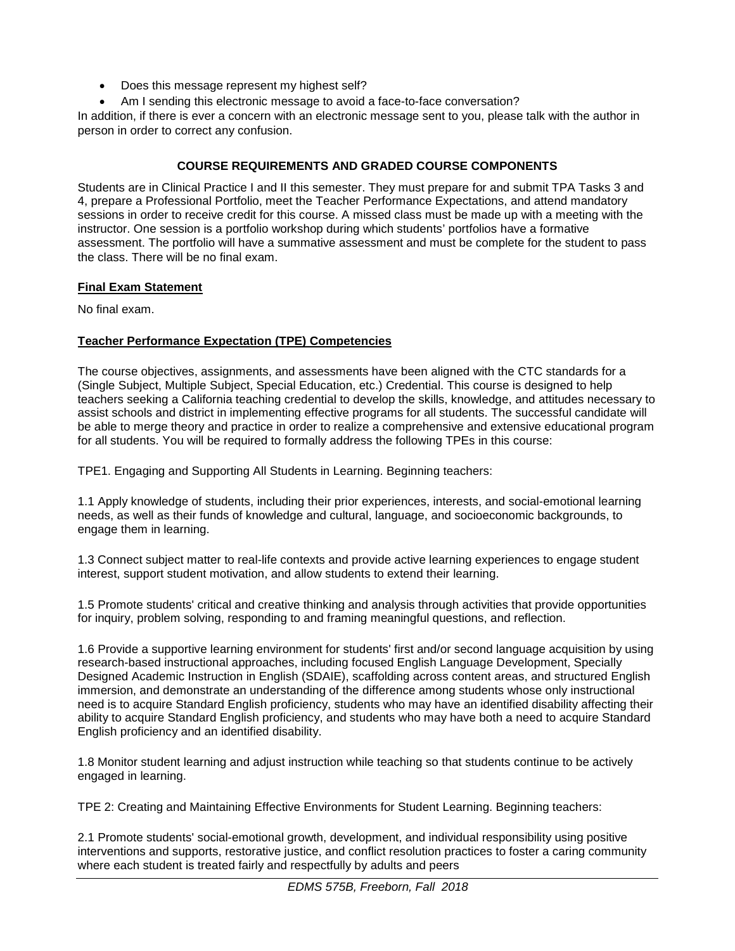- Does this message represent my highest self?
- Am I sending this electronic message to avoid a face-to-face conversation?

In addition, if there is ever a concern with an electronic message sent to you, please talk with the author in person in order to correct any confusion.

## **COURSE REQUIREMENTS AND GRADED COURSE COMPONENTS**

Students are in Clinical Practice I and II this semester. They must prepare for and submit TPA Tasks 3 and 4, prepare a Professional Portfolio, meet the Teacher Performance Expectations, and attend mandatory sessions in order to receive credit for this course. A missed class must be made up with a meeting with the instructor. One session is a portfolio workshop during which students' portfolios have a formative assessment. The portfolio will have a summative assessment and must be complete for the student to pass the class. There will be no final exam.

### **Final Exam Statement**

No final exam.

## **Teacher Performance Expectation (TPE) Competencies**

The course objectives, assignments, and assessments have been aligned with the CTC standards for a (Single Subject, Multiple Subject, Special Education, etc.) Credential. This course is designed to help teachers seeking a California teaching credential to develop the skills, knowledge, and attitudes necessary to assist schools and district in implementing effective programs for all students. The successful candidate will be able to merge theory and practice in order to realize a comprehensive and extensive educational program for all students. You will be required to formally address the following TPEs in this course:

TPE1. Engaging and Supporting All Students in Learning. Beginning teachers:

1.1 Apply knowledge of students, including their prior experiences, interests, and social-emotional learning needs, as well as their funds of knowledge and cultural, language, and socioeconomic backgrounds, to engage them in learning.

1.3 Connect subject matter to real-life contexts and provide active learning experiences to engage student interest, support student motivation, and allow students to extend their learning.

1.5 Promote students' critical and creative thinking and analysis through activities that provide opportunities for inquiry, problem solving, responding to and framing meaningful questions, and reflection.

1.6 Provide a supportive learning environment for students' first and/or second language acquisition by using research-based instructional approaches, including focused English Language Development, Specially Designed Academic Instruction in English (SDAIE), scaffolding across content areas, and structured English immersion, and demonstrate an understanding of the difference among students whose only instructional need is to acquire Standard English proficiency, students who may have an identified disability affecting their ability to acquire Standard English proficiency, and students who may have both a need to acquire Standard English proficiency and an identified disability.

1.8 Monitor student learning and adjust instruction while teaching so that students continue to be actively engaged in learning.

TPE 2: Creating and Maintaining Effective Environments for Student Learning. Beginning teachers:

2.1 Promote students' social-emotional growth, development, and individual responsibility using positive interventions and supports, restorative justice, and conflict resolution practices to foster a caring community where each student is treated fairly and respectfully by adults and peers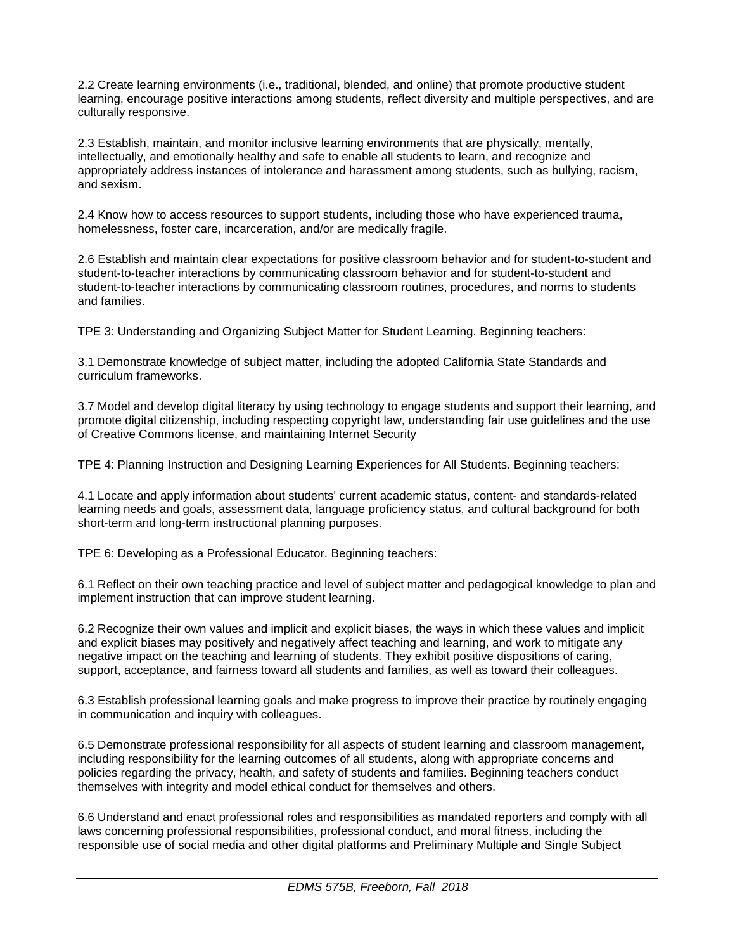2.2 Create learning environments (i.e., traditional, blended, and online) that promote productive student learning, encourage positive interactions among students, reflect diversity and multiple perspectives, and are culturally responsive.

2.3 Establish, maintain, and monitor inclusive learning environments that are physically, mentally, intellectually, and emotionally healthy and safe to enable all students to learn, and recognize and appropriately address instances of intolerance and harassment among students, such as bullying, racism, and sexism.

2.4 Know how to access resources to support students, including those who have experienced trauma, homelessness, foster care, incarceration, and/or are medically fragile.

2.6 Establish and maintain clear expectations for positive classroom behavior and for student-to-student and student-to-teacher interactions by communicating classroom behavior and for student-to-student and student-to-teacher interactions by communicating classroom routines, procedures, and norms to students and families.

TPE 3: Understanding and Organizing Subject Matter for Student Learning. Beginning teachers:

3.1 Demonstrate knowledge of subject matter, including the adopted California State Standards and curriculum frameworks.

3.7 Model and develop digital literacy by using technology to engage students and support their learning, and promote digital citizenship, including respecting copyright law, understanding fair use guidelines and the use of Creative Commons license, and maintaining Internet Security

TPE 4: Planning Instruction and Designing Learning Experiences for All Students. Beginning teachers:

4.1 Locate and apply information about students' current academic status, content- and standards-related learning needs and goals, assessment data, language proficiency status, and cultural background for both short-term and long-term instructional planning purposes.

TPE 6: Developing as a Professional Educator. Beginning teachers:

6.1 Reflect on their own teaching practice and level of subject matter and pedagogical knowledge to plan and implement instruction that can improve student learning.

6.2 Recognize their own values and implicit and explicit biases, the ways in which these values and implicit and explicit biases may positively and negatively affect teaching and learning, and work to mitigate any negative impact on the teaching and learning of students. They exhibit positive dispositions of caring, support, acceptance, and fairness toward all students and families, as well as toward their colleagues.

6.3 Establish professional learning goals and make progress to improve their practice by routinely engaging in communication and inquiry with colleagues.

6.5 Demonstrate professional responsibility for all aspects of student learning and classroom management, including responsibility for the learning outcomes of all students, along with appropriate concerns and policies regarding the privacy, health, and safety of students and families. Beginning teachers conduct themselves with integrity and model ethical conduct for themselves and others.

6.6 Understand and enact professional roles and responsibilities as mandated reporters and comply with all laws concerning professional responsibilities, professional conduct, and moral fitness, including the responsible use of social media and other digital platforms and Preliminary Multiple and Single Subject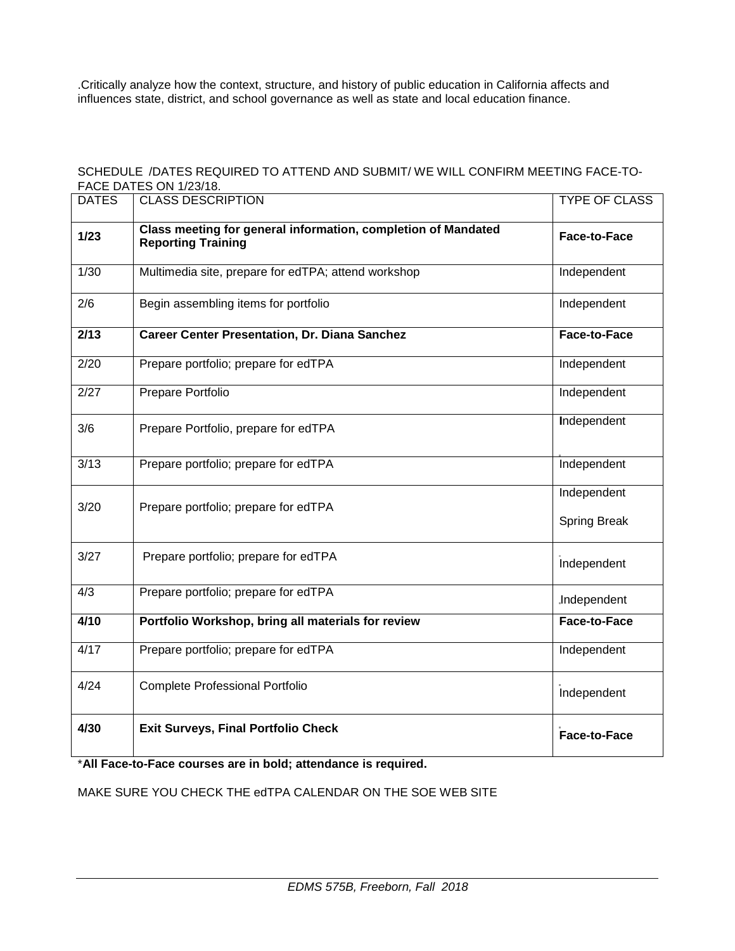.Critically analyze how the context, structure, and history of public education in California affects and influences state, district, and school governance as well as state and local education finance.

### SCHEDULE /DATES REQUIRED TO ATTEND AND SUBMIT/ WE WILL CONFIRM MEETING FACE-TO-FACE DATES ON 1/23/18.

| <b>DATES</b> | סו וסגיו בט טויירים בטאיו<br><b>CLASS DESCRIPTION</b>                                      | <b>TYPE OF CLASS</b>               |
|--------------|--------------------------------------------------------------------------------------------|------------------------------------|
| $1/23$       | Class meeting for general information, completion of Mandated<br><b>Reporting Training</b> | Face-to-Face                       |
| 1/30         | Multimedia site, prepare for edTPA; attend workshop                                        | Independent                        |
| 2/6          | Begin assembling items for portfolio                                                       | Independent                        |
| 2/13         | <b>Career Center Presentation, Dr. Diana Sanchez</b>                                       | Face-to-Face                       |
| 2/20         | Prepare portfolio; prepare for edTPA                                                       | Independent                        |
| 2/27         | Prepare Portfolio                                                                          | Independent                        |
| 3/6          | Prepare Portfolio, prepare for edTPA                                                       | Independent                        |
| 3/13         | Prepare portfolio; prepare for edTPA                                                       | Independent                        |
| 3/20         | Prepare portfolio; prepare for edTPA                                                       | Independent<br><b>Spring Break</b> |
| 3/27         | Prepare portfolio; prepare for edTPA                                                       | Independent                        |
| 4/3          | Prepare portfolio; prepare for edTPA                                                       | .Independent                       |
| 4/10         | Portfolio Workshop, bring all materials for review                                         | Face-to-Face                       |
| 4/17         | Prepare portfolio; prepare for edTPA                                                       | Independent                        |
| 4/24         | <b>Complete Professional Portfolio</b>                                                     | Independent                        |
| 4/30         | <b>Exit Surveys, Final Portfolio Check</b>                                                 | Face-to-Face                       |

\***All Face-to-Face courses are in bold; attendance is required.** 

MAKE SURE YOU CHECK THE edTPA CALENDAR ON THE SOE WEB SITE